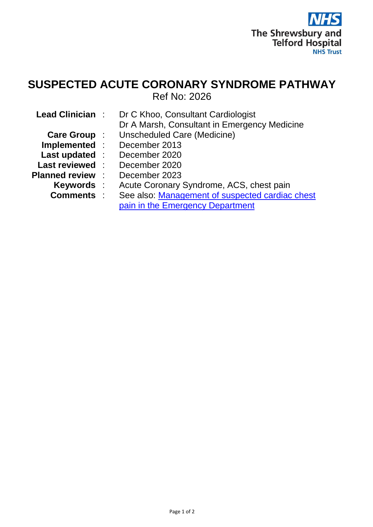

## **SUSPECTED ACUTE CORONARY SYNDROME PATHWAY** Ref No: 2026

| <b>Lead Clinician:</b> | Dr C Khoo, Consultant Cardiologist              |
|------------------------|-------------------------------------------------|
|                        | Dr A Marsh, Consultant in Emergency Medicine    |
| Care Group :           | <b>Unscheduled Care (Medicine)</b>              |
| Implemented :          | December 2013                                   |
| Last updated :         | December 2020                                   |
| <b>Last reviewed:</b>  | December 2020                                   |
| <b>Planned review</b>  | December 2023                                   |
| <b>Keywords</b> :      | Acute Coronary Syndrome, ACS, chest pain        |
| <b>Comments:</b>       | See also: Management of suspected cardiac chest |
|                        | pain in the Emergency Department                |